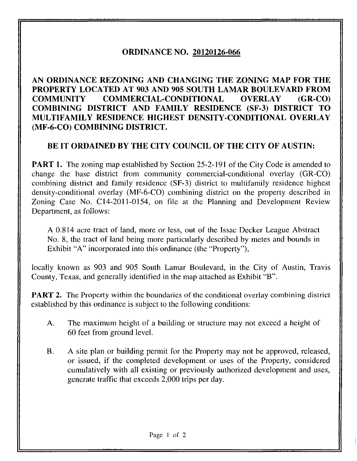## ORDINANCE NO. 20120126-066

AN ORDINANCE REZONING AND CHANGING THE ZONING MAP FOR THE PROPERTY LOCATED AT 903 AND 905 SOUTH LAMAR BOULEVARD FROM COMMUNITY COMMERCIAL-CONDITIONAL OVERLAY (GR-CO) COMBINING DISTRICT AND FAMILY RESIDENCE (SF-3) DISTRICT TO MULTIFAMILY RESIDENCE HIGHEST DENSITY-CONDITIONAL OVERLAY (MF-6-CO) COMBINING DISTRICT.

## BE IT ORDAINED BY THE CITY COUNCIL OF THE CITY OF AUSTIN:

**PART 1.** The zoning map established by Section 25-2-191 of the City Code is amended to change the base district from community commercial-conditional overlay (GR-CO) combining district and family residence (SF-3) district to multifamily residence highest density-conditional overlay (MF-6-CO) combining district on the property described in Zoning Case No. C14-2011-0154, on file at the Planning and Development Review Department, as follows:

A 0.814 acre tract of land, more or less, out of the Issac Decker League Abstract No. 8, the tract of land being more particularly described by metes and bounds in Exhibit "A" incorporated into this ordinance (the "Property"),

locally known as 903 and 905 South Lamar Boulevard, in the City of Austin, Travis County, Texas, and generally identified in the map attached as Exhibit "B".

**PART 2.** The Property within the boundaries of the conditional overlay combining district established by this ordinance is subject to the following conditions:

- A. The maximum height of a building or structure may not exceed a height of 60 feet from ground level.
- B. A site plan or building permit for the Property may not be approved, released, or issued, if the completed development or uses of the Property, considered cumulatively with all existing or previously authorized development and uses, generate traffic that exceeds 2,000 trips per day.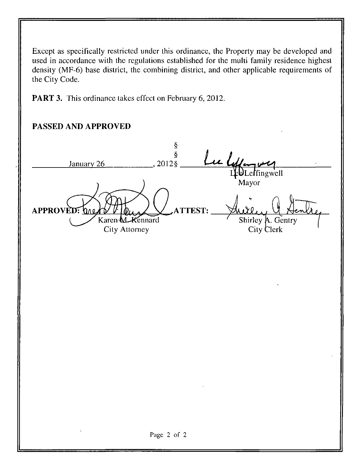Except as specifically restricted under this ordinance, the Property may be developed and used in accordance with the regulations established for the multi family residence highest density (MF-6) base district, the combining district, and other applicable requirements of the City Code.

PART 3. This ordinance takes effect on February 6, 2012.

## PASSED AND APPROVED

Ş  $\hat{\S}$ u l January 26 2012§ LebLeffingwell Mayor APPROVED: DAG **TEST:** Karen M. Kennard Shirley A. Gentry City Attorney City Clerk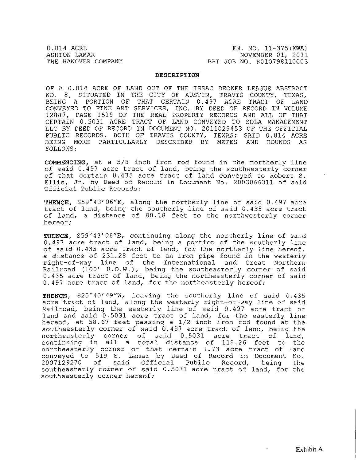0.814 ACRE FN. NO. 11-375 (KWA)<br>ASHTON LAMAR FROM THE RESERVE TO A SHIP NOVEMBER 01, 2011 ASHTON LAMAR NOVEMBER 01, 2011 BPI JOB NO. R010798110003

## DESCRIPTION

OF A 0.814 ACRE OF LAND OUT OF THE ISSAC DECKER LEAGUE ABSTRACT NO. 8, SITUATED IN THE CITY OF AUSTIN, TRAVIS COUNTY, TEXAS, BEING A PORTION OF THAT CERTAIN 0.497 ACRE TRACT OF LAND CONVEYED TO FINE ART SERVICES, INC, BY DEED OF RECORD IN VOLUME 12887, PAGE 1519 OF THE REAL PROPERTY RECORDS AND ALL OF THAT CERTAIN 0.5031 ACRE TRACT OF LAND CONVEYED TO SOLA MANAGEMENT LLC BY DEED OF RECORD IN DOCUMENT NO. 2011029453 OF THE OFFICIAL PUBLIC RECORDS, BOTH OF TRAVIS COUNTY, TEXAS; SAID 0.814 ACRE BEING MORE PARTICULARLY DESCRIBED BY METES AND BOUNDS AS FOLLOWS:

COMMENCING, at a 5/8 inch iron rod found in the northerly line of said 0.497 acre tract of land, being the southwesterly corner of that certain 0.435 acre tract of land conveyed to Robert S. Ellis, Jr. by Deed of Record in Document No. 2003066311 of said Official Public Records;

THENCE, S59°43'06"E, along the northerly line of said 0.497 acre tract of land, being the southerly line of said 0.435 acre tract of land, a distance of 80.18 feet to the northwesterly corner hereof;

THENCE, S59°43'06"E, continuing along the northerly line of said 0.497 acre tract of land, being a portion of the southerly line of said 0.435 acre tract of land, for the northerly line hereof, a distance of 231.28 feet to an iron pipe found in the westerly right-of-way line of the International and Great Northern Railroad (100' R.O.W.), being the southeasterly corner of said 0.435 acre tract of land, being the northeasterly corner of said 0.497 acre tract of land, for the northeasterly hereof;

THENCE, S25°40'49"W, leaving the southerly line of said 0.435 acre tract of land, along the westerly right-of-way line of said Railroad, being the easterly line of said 0.497 acre tract of land and said 0.5031 acre tract of land, for the easterly line hereof, at 58.67 feet passing a 1/2 inch iron rod found at the southeasterly corner of said 0.497 acre tract of land, being the northeasterly corner of said 0.5031 acre tract of land, continuing in all a total distance of 118.26 feet to the northeasterly corner of that certain 1.73 acre tract of land conveyed to 919 S. Lamar by Deed of Record in Document No. 2007129270 of said Official Public Record, being the southeasterly corner of said 0.5031 acre tract of land, for the southeasterly corner hereof;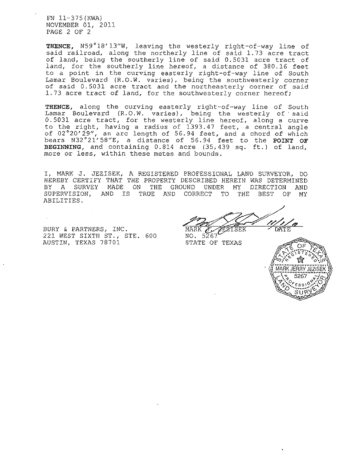FN 11-375(KWA) NOVEMBER 01, 2011 PAGE 2 OF 2

THENCE, N59°18'13"W, leaving the westerly right-of-way line of said railroad, along the northerly line of said 1.73 acre tract of land, being the southerly line of said 0.5031 acre tract of land, for the southerly line hereof, a distance of 380.16 feet to a point in the curving easterly right-of-way line of South Lamar Boulevard (R.O.W. varies), being the southwesterly corner of said 0.5031 acre tract and the northeasterly corner of said 1.73 acre tract of land, for the southwesterly corner hereof;

THENCE, along the curving easterly right-of-way line of South Lamar Boulevard (R.O.W. varies), being the westerly of ' said 0.5031 acre tract, for the westerly line hereof, along a curve to the right, having a radius of 1393.47 feet, a central angle of 02°20'29"/ an arc length of 56.94 feet, and a chord of which bears N32°21' 58"E, a distance of 56.94 feet to the POINT OF BEGINNING, and containing 0.814 acre (35,439 sq. ft. } of land, more or less, within these metes and bounds.

I, MARK J. JEZISEK, A REGISTERED PROFESSIONAL LAND SURVEYOR, DO HEREBY CERTIFY THAT THE PROPERTY DESCRIBED HEREIN WAS DETERMINED<br>BY A SURVEY MADE ON THE GROUND UNDER MY DIRECTION AND THE GROUND UNDER MY DIRECTION AND SUPERVISION, AND IS TRUE AND CORRECT TO THE BEST OF MY ABILITIES.

BURY & PARTNERS, INC. 221 WEST SIXTH ST., STE. 600 AUSTIN, TEXAS 78701

DATE  $\delta$ .

NO. 5267 STATE OF TEXAS

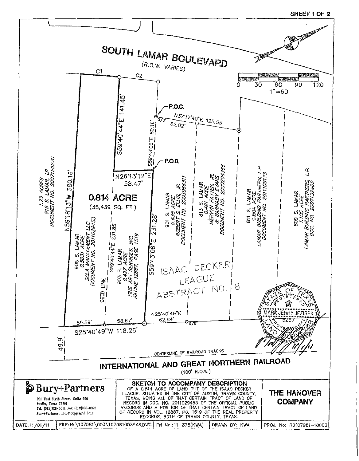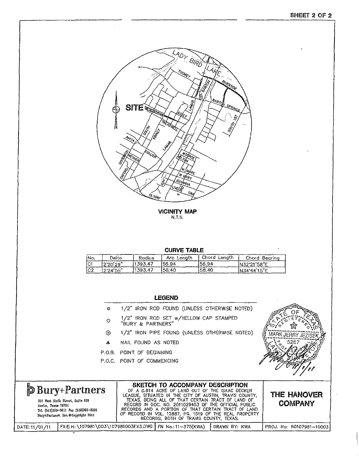